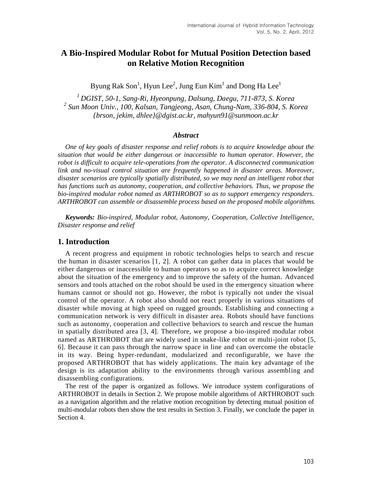# **A Bio-Inspired Modular Robot for Mutual Position Detection based on Relative Motion Recognition**

Byung Rak Son $^1$ , Hyun Lee $^2$ , Jung Eun Kim $^1$  and Dong Ha Lee $^1$ 

*<sup>1</sup>DGIST, 50-1, Sang-Ri, Hyeonpung, Dalsung, Daegu, 711-873, S. Korea 2 Sun Moon Univ., 100, Kalsan, Tangjeong, Asan, Chung-Nam, 336-804, S. Korea {brson, jekim, dhlee}@dgist.ac.kr, mahyun91@sunmoon.ac.kr*

#### *Abstract*

*One of key goals of disaster response and relief robots is to acquire knowledge about the situation that would be either dangerous or inaccessible to human operator. However, the robot is difficult to acquire tele-operations from the operator. A disconnected communication link and no-visual control situation are frequently happened in disaster areas. Moreover, disaster scenarios are typically spatially distributed, so we may need an intelligent robot that has functions such as autonomy, cooperation, and collective behaviors. Thus, we propose the bio-inspired modular robot named as ARTHROBOT so as to support emergency responders. ARTHROBOT can assemble or disassemble process based on the proposed mobile algorithms.*

*Keywords: Bio-inspired, Modular robot, Autonomy, Cooperation, Collective Intelligence, Disaster response and relief*

### **1. Introduction**

A recent progress and equipment in robotic technologies helps to search and rescue the human in disaster scenarios [1, 2]. A robot can gather data in places that would be either dangerous or inaccessible to human operators so as to acquire correct knowledge about the situation of the emergency and to improve the safety of the human. Advanced sensors and tools attached on the robot should be used in the emergency situation where humans cannot or should not go. However, the robot is typically not under the visual control of the operator. A robot also should not react properly in various situations of disaster while moving at high speed on rugged grounds. Establishing and connecting a communication network is very difficult in disaster area. Robots should have functions such as autonomy, cooperation and collective behaviors to search and rescue the human in spatially distributed area [3, 4]. Therefore, we propose a bio-inspired modular robot named as ARTHROBOT that are widely used in snake-like robot or multi-joint robot [5, 6]. Because it can pass through the narrow space in line and can overcome the obstacle in its way. Being hyper-redundant, modularized and reconfigurable, we have the proposed ARTHROBOT that has widely applications. The main key advantage of the design is its adaptation ability to the environments through various assembling and disassembling configurations.

The rest of the paper is organized as follows. We introduce system configurations of ARTHROBOT in details in Section 2. We propose mobile algorithms of ARTHROBOT such as a navigation algorithm and the relative motion recognition by detecting mutual position of multi-modular robots then show the test results in Section 3. Finally, we conclude the paper in Section 4.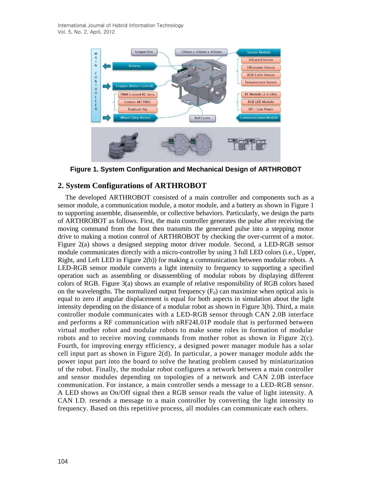International Journal of Hybrid Information Technology Vol. 5, No. 2, April, 2012



**Figure 1. System Configuration and Mechanical Design of ARTHROBOT**

# **2. System Configurations of ARTHROBOT**

The developed ARTHROBOT consisted of a main controller and components such as a sensor module, a communication module, a motor module, and a battery as shown in Figure 1 to supporting assemble, disassemble, or collective behaviors. Particularly, we design the parts of ARTHROBOT as follows. First, the main controller generates the pulse after receiving the moving command from the host then transmits the generated pulse into a stepping motor drive to making a motion control of ARTHROBOT by checking the over-current of a motor. Figure 2(a) shows a designed stepping motor driver module. Second, a LED-RGB sensor module communicates directly with a micro-controller by using 3 full LED colors (i.e., Upper, Right, and Left LED in Figure 2(b)) for making a communication between modular robots. A LED-RGB sensor module converts a light intensity to frequency to supporting a specified operation such as assembling or disassembling of modular robots by displaying different colors of RGB. Figure 3(a) shows an example of relative responsibility of RGB colors based on the wavelengths. The normalized output frequency  $(F_0)$  can maximize when optical axis is equal to zero if angular displacement is equal for both aspects in simulation about the light intensity depending on the distance of a modular robot as shown in Figure 3(b). Third, a main controller module communicates with a LED-RGB sensor through CAN 2.0B interface and performs a RF communication with nRF24L01P module that is performed between virtual mother robot and modular robots to make some roles in formation of modular robots and to receive moving commands from mother robot as shown in Figure  $2(c)$ . Fourth, for improving energy efficiency, a designed power manager module has a solar cell input part as shown in Figure  $2(d)$ . In particular, a power manager module adds the power input part into the board to solve the heating problem caused by miniaturization of the robot. Finally, the modular robot configures a network between a main controller and sensor modules depending on topologies of a network and CAN 2.0B interface communication. For instance, a main controller sends a message to a LED-RGB sensor. A LED shows an On/Off signal then a RGB sensor reads the value of light intensity. A CAN I.D. resends a message to a main controller by converting the light intensity to frequency. Based on this repetitive process, all modules can communicate each others.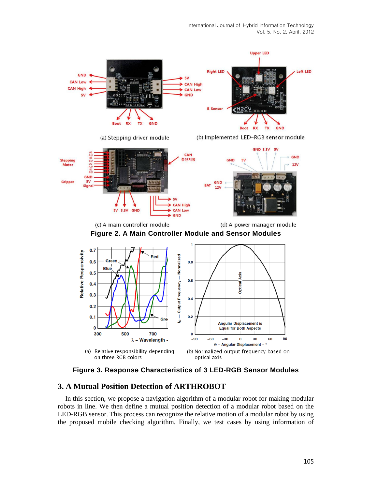

**Figure 3. Response Characteristics of 3 LED-RGB Sensor Modules**

# **3. A Mutual Position Detection of ARTHROBOT**

In this section, we propose a navigation algorithm of a modular robot for making modular robots in line. We then define a mutual position detection of a modular robot based on the LED-RGB sensor. This process can recognize the relative motion of a modular robot by using the proposed mobile checking algorithm. Finally, we test cases by using information of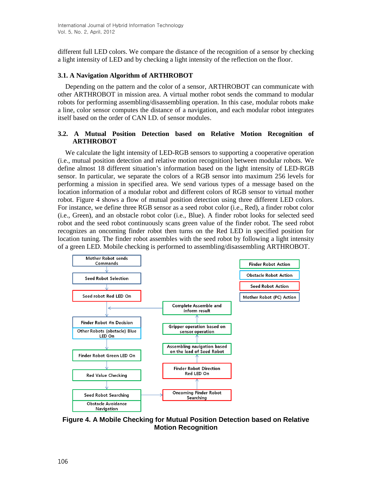different full LED colors. We compare the distance of the recognition of a sensor by checking a light intensity of LED and by checking a light intensity of the reflection on the floor.

#### **3.1. A Navigation Algorithm of ARTHROBOT**

Depending on the pattern and the color of a sensor, ARTHROBOT can communicate with other ARTHROBOT in mission area. A virtual mother robot sends the command to modular robots for performing assembling/disassembling operation. In this case, modular robots make a line, color sensor computes the distance of a navigation, and each modular robot integrates itself based on the order of CAN I.D. of sensor modules.

### **3.2. A Mutual Position Detection based on Relative Motion Recognition of ARTHROBOT**

We calculate the light intensity of LED-RGB sensors to supporting a cooperative operation (i.e., mutual position detection and relative motion recognition) between modular robots. We define almost 18 different situation's information based on the light intensity of LED-RGB sensor. In particular, we separate the colors of a RGB sensor into maximum 256 levels for performing a mission in specified area. We send various types of a message based on the location information of a modular robot and different colors of RGB sensor to virtual mother robot. Figure 4 shows a flow of mutual position detection using three different LED colors. For instance, we define three RGB sensor as a seed robot color (i.e., Red), a finder robot color (i.e., Green), and an obstacle robot color (i.e., Blue). A finder robot looks for selected seed robot and the seed robot continuously scans green value of the finder robot. The seed robot recognizes an oncoming finder robot then turns on the Red LED in specified position for location tuning. The finder robot assembles with the seed robot by following a light intensity of a green LED. Mobile checking is performed to assembling/disassembling ARTHROBOT.



**Figure 4. A Mobile Checking for Mutual Position Detection based on Relative Motion Recognition**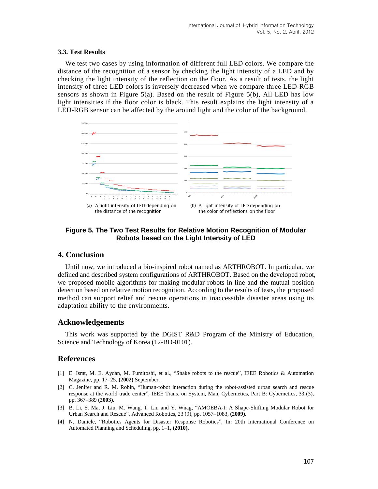#### **3.3. Test Results**

We test two cases by using information of different full LED colors. We compare the distance of the recognition of a sensor by checking the light intensity of a LED and by checking the light intensity of the reflection on the floor. As a result of tests, the light intensity of three LED colors is inversely decreased when we compare three LED-RGB sensors as shown in Figure 5(a). Based on the result of Figure 5(b), All LED has low light intensities if the floor color is black. This result explains the light intensity of a LED-RGB sensor can be affected by the around light and the color of the background.



## **Figure 5. The Two Test Results for Relative Motion Recognition of Modular Robots based on the Light Intensity of LED**

# **4. Conclusion**

Until now, we introduced a bio-inspired robot named as ARTHROBOT. In particular, we defined and described system configurations of ARTHROBOT. Based on the developed robot, we proposed mobile algorithms for making modular robots in line and the mutual position detection based on relative motion recognition. According to the results of tests, the proposed method can support relief and rescue operations in inaccessible disaster areas using its adaptation ability to the environments.

### **Acknowledgements**

This work was supported by the DGIST R&D Program of the Ministry of Education, Science and Technology of Korea (12-BD-0101).

# **References**

- [1] E. Ismt, M. E. Aydan, M. Fumitoshi, et al., "Snake robots to the rescue", IEEE Robotics & Automation Magazine, pp. 17–25, **(2002)** September.
- [2] C. Jenifer and R. M. Robin, "Human-robot interaction during the robot-assisted urban search and rescue response at the world trade center", IEEE Trans. on System, Man, Cybernetics, Part B: Cybernetics, 33 (3), pp. 367–389 **(2003)**.
- [3] B. Li, S. Ma, J. Liu, M. Wang, T. Liu and Y. Wnag, "AMOEBA-I: A Shape-Shifting Modular Robot for Urban Search and Rescue", Advanced Robotics, 23 (9), pp. 1057–1083, **(2009)**.
- [4] N. Daniele, "Robotics Agents for Disaster Response Robotics", In: 20th International Conference on Automated Planning and Scheduling, pp. 1–1, **(2010)**.